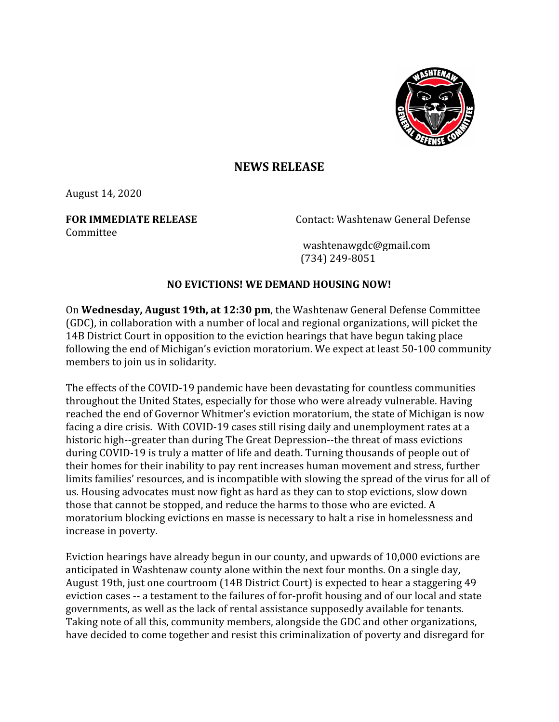

## **NEWS RELEASE**

August 14, 2020

**Committee** 

**FOR IMMEDIATE RELEASE** Contact: Washtenaw General Defense

 washtenawgdc@gmail.com (734) 249-8051

## **NO EVICTIONS! WE DEMAND HOUSING NOW!**

On **Wednesday, August 19th, at 12:30 pm**, the Washtenaw General Defense Committee (GDC), in collaboration with a number of local and regional organizations, will picket the 14B District Court in opposition to the eviction hearings that have begun taking place following the end of Michigan's eviction moratorium. We expect at least 50-100 community members to join us in solidarity.

The effects of the COVID-19 pandemic have been devastating for countless communities throughout the United States, especially for those who were already vulnerable. Having reached the end of Governor Whitmer's eviction moratorium, the state of Michigan is now facing a dire crisis. With COVID-19 cases still rising daily and unemployment rates at a historic high--greater than during The Great Depression--the threat of mass evictions during COVID-19 is truly a matter of life and death. Turning thousands of people out of their homes for their inability to pay rent increases human movement and stress, further limits families' resources, and is incompatible with slowing the spread of the virus for all of us. Housing advocates must now fight as hard as they can to stop evictions, slow down those that cannot be stopped, and reduce the harms to those who are evicted. A moratorium blocking evictions en masse is necessary to halt a rise in homelessness and increase in poverty.

Eviction hearings have already begun in our county, and upwards of 10,000 evictions are anticipated in Washtenaw county alone within the next four months. On a single day, August 19th, just one courtroom (14B District Court) is expected to hear a staggering 49 eviction cases -- a testament to the failures of for-profit housing and of our local and state governments, as well as the lack of rental assistance supposedly available for tenants. Taking note of all this, community members, alongside the GDC and other organizations, have decided to come together and resist this criminalization of poverty and disregard for